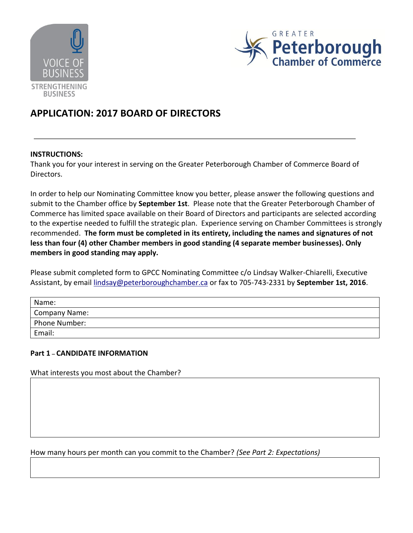



# **APPLICATION: 2017 BOARD OF DIRECTORS**

#### **INSTRUCTIONS:**

Thank you for your interest in serving on the Greater Peterborough Chamber of Commerce Board of Directors.

In order to help our Nominating Committee know you better, please answer the following questions and submit to the Chamber office by **September 1st**. Please note that the Greater Peterborough Chamber of Commerce has limited space available on their Board of Directors and participants are selected according to the expertise needed to fulfill the strategic plan. Experience serving on Chamber Committees is strongly recommended. **The form must be completed in its entirety, including the names and signatures of not less than four (4) other Chamber members in good standing (4 separate member businesses). Only members in good standing may apply.** 

Please submit completed form to GPCC Nominating Committee c/o Lindsay Walker-Chiarelli, Executive Assistant, by emai[l lindsay@peterboroughchamber.ca](mailto:lindsay@peterboroughchamber.ca) or fax to 705-743-2331 by **September 1st, 2016**.

| Name:         |
|---------------|
| Company Name: |
| Phone Number: |
| Email:        |

## **Part 1 – CANDIDATE INFORMATION**

What interests you most about the Chamber?

How many hours per month can you commit to the Chamber? *(See Part 2: Expectations)*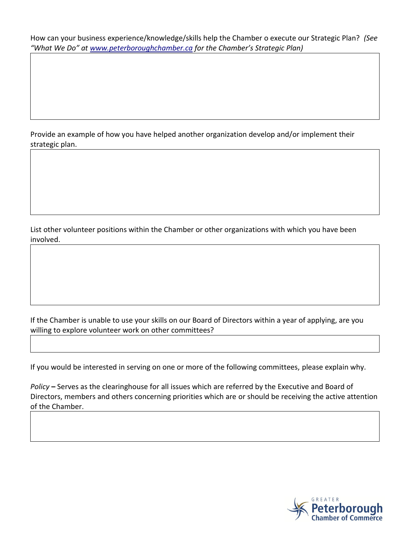How can your business experience/knowledge/skills help the Chamber o execute our Strategic Plan? *(See "What We Do" at [www.peterboroughchamber.ca](http://www.peterboroughchamber.ca/) for the Chamber's Strategic Plan)*

Provide an example of how you have helped another organization develop and/or implement their strategic plan.

List other volunteer positions within the Chamber or other organizations with which you have been involved.

If the Chamber is unable to use your skills on our Board of Directors within a year of applying, are you willing to explore volunteer work on other committees?

If you would be interested in serving on one or more of the following committees, please explain why.

*Policy* **–** Serves as the clearinghouse for all issues which are referred by the Executive and Board of Directors, members and others concerning priorities which are or should be receiving the active attention of the Chamber.

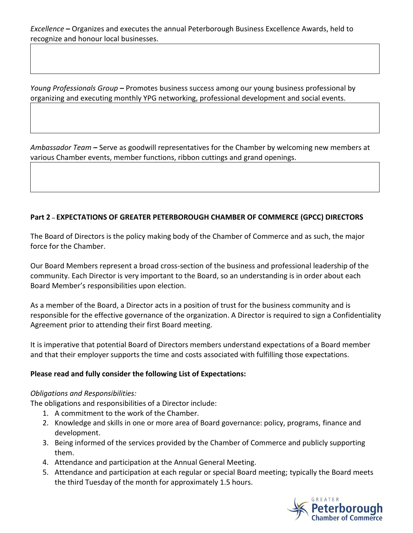*Young Professionals Group* **–** Promotes business success among our young business professional by organizing and executing monthly YPG networking, professional development and social events.

*Ambassador Team* **–** Serve as goodwill representatives for the Chamber by welcoming new members at various Chamber events, member functions, ribbon cuttings and grand openings.

# **Part 2 – EXPECTATIONS OF GREATER PETERBOROUGH CHAMBER OF COMMERCE (GPCC) DIRECTORS**

The Board of Directors is the policy making body of the Chamber of Commerce and as such, the major force for the Chamber.

Our Board Members represent a broad cross-section of the business and professional leadership of the community. Each Director is very important to the Board, so an understanding is in order about each Board Member's responsibilities upon election.

As a member of the Board, a Director acts in a position of trust for the business community and is responsible for the effective governance of the organization. A Director is required to sign a Confidentiality Agreement prior to attending their first Board meeting.

It is imperative that potential Board of Directors members understand expectations of a Board member and that their employer supports the time and costs associated with fulfilling those expectations.

## **Please read and fully consider the following List of Expectations:**

## *Obligations and Responsibilities:*

The obligations and responsibilities of a Director include:

- 1. A commitment to the work of the Chamber.
- 2. Knowledge and skills in one or more area of Board governance: policy, programs, finance and development.
- 3. Being informed of the services provided by the Chamber of Commerce and publicly supporting them.
- 4. Attendance and participation at the Annual General Meeting.
- 5. Attendance and participation at each regular or special Board meeting; typically the Board meets the third Tuesday of the month for approximately 1.5 hours.